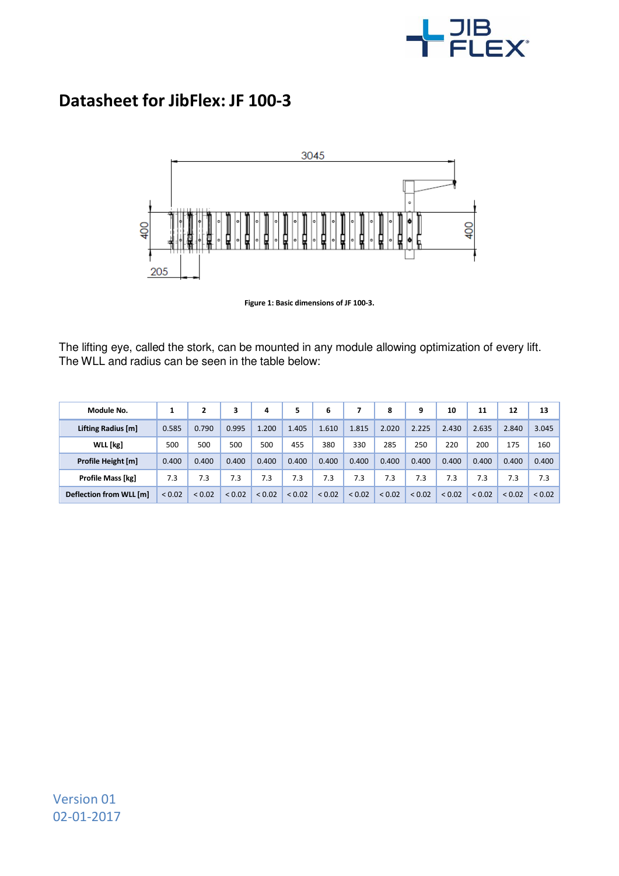

## **Datasheet for JibFlex: JF 100-3**



**Figure 1: Basic dimensions of JF 100-3.**

The lifting eye, called the stork, can be mounted in any module allowing optimization of every lift. The WLL and radius can be seen in the table below:

| Module No.               |             |        | 3           | 4      | 5      | 6           |        | 8           | 9      | 10          | 11     | 12     | 13     |
|--------------------------|-------------|--------|-------------|--------|--------|-------------|--------|-------------|--------|-------------|--------|--------|--------|
| Lifting Radius [m]       | 0.585       | 0.790  | 0.995       | 1.200  | 1.405  | 1.610       | 1.815  | 2.020       | 2.225  | 2.430       | 2.635  | 2.840  | 3.045  |
| WLL [kg]                 | 500         | 500    | 500         | 500    | 455    | 380         | 330    | 285         | 250    | 220         | 200    | 175    | 160    |
| Profile Height [m]       | 0.400       | 0.400  | 0.400       | 0.400  | 0.400  | 0.400       | 0.400  | 0.400       | 0.400  | 0.400       | 0.400  | 0.400  | 0.400  |
| <b>Profile Mass [kg]</b> | 7.3         | 7.3    | 7.3         | 7.3    | 7.3    | 7.3         | 7.3    | 7.3         | 7.3    | 7.3         | 7.3    | 7.3    | 7.3    |
| Deflection from WLL [m]  | ${}_{0.02}$ | < 0.02 | ${}_{0.02}$ | < 0.02 | < 0.02 | ${}_{0.02}$ | < 0.02 | ${}_{0.02}$ | < 0.02 | ${}_{0.02}$ | < 0.02 | < 0.02 | < 0.02 |